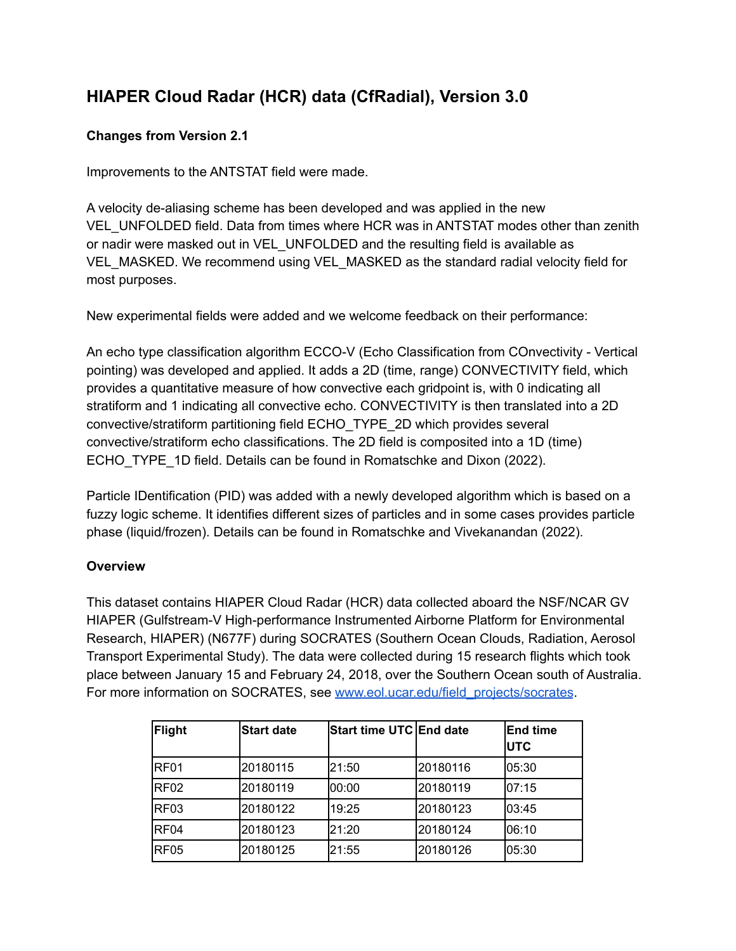# **HIAPER Cloud Radar (HCR) data (CfRadial), Version 3.0**

# **Changes from Version 2.1**

Improvements to the ANTSTAT field were made.

A velocity de-aliasing scheme has been developed and was applied in the new VEL\_UNFOLDED field. Data from times where HCR was in ANTSTAT modes other than zenith or nadir were masked out in VEL\_UNFOLDED and the resulting field is available as VEL\_MASKED. We recommend using VEL\_MASKED as the standard radial velocity field for most purposes.

New experimental fields were added and we welcome feedback on their performance:

An echo type classification algorithm ECCO-V (Echo Classification from COnvectivity - Vertical pointing) was developed and applied. It adds a 2D (time, range) CONVECTIVITY field, which provides a quantitative measure of how convective each gridpoint is, with 0 indicating all stratiform and 1 indicating all convective echo. CONVECTIVITY is then translated into a 2D convective/stratiform partitioning field ECHO\_TYPE\_2D which provides several convective/stratiform echo classifications. The 2D field is composited into a 1D (time) ECHO\_TYPE\_1D field. Details can be found in Romatschke and Dixon (2022).

Particle IDentification (PID) was added with a newly developed algorithm which is based on a fuzzy logic scheme. It identifies different sizes of particles and in some cases provides particle phase (liquid/frozen). Details can be found in Romatschke and Vivekanandan (2022).

# **Overview**

This dataset contains HIAPER Cloud Radar (HCR) data collected aboard the NSF/NCAR GV HIAPER (Gulfstream-V High-performance Instrumented Airborne Platform for Environmental Research, HIAPER) (N677F) during SOCRATES (Southern Ocean Clouds, Radiation, Aerosol Transport Experimental Study). The data were collected during 15 research flights which took place between January 15 and February 24, 2018, over the Southern Ocean south of Australia. For more information on SOCRATES, see [www.eol.ucar.edu/field\\_projects/socrates](http://www.eol.ucar.edu/field_projects/socrates).

| <b>Flight</b>    | <b>Start date</b> | <b>Start time UTC End date</b> |          | <b>End time</b><br><b>IUTC</b> |
|------------------|-------------------|--------------------------------|----------|--------------------------------|
| RF01             | 20180115          | 21:50                          | 20180116 | 05:30                          |
| <b>RF02</b>      | 20180119          | 00:00                          | 20180119 | 107:15                         |
| RF <sub>03</sub> | 20180122          | 19:25                          | 20180123 | 03:45                          |
| RF <sub>04</sub> | 20180123          | 21:20                          | 20180124 | 06:10                          |
| RF <sub>05</sub> | 20180125          | 21:55                          | 20180126 | 05:30                          |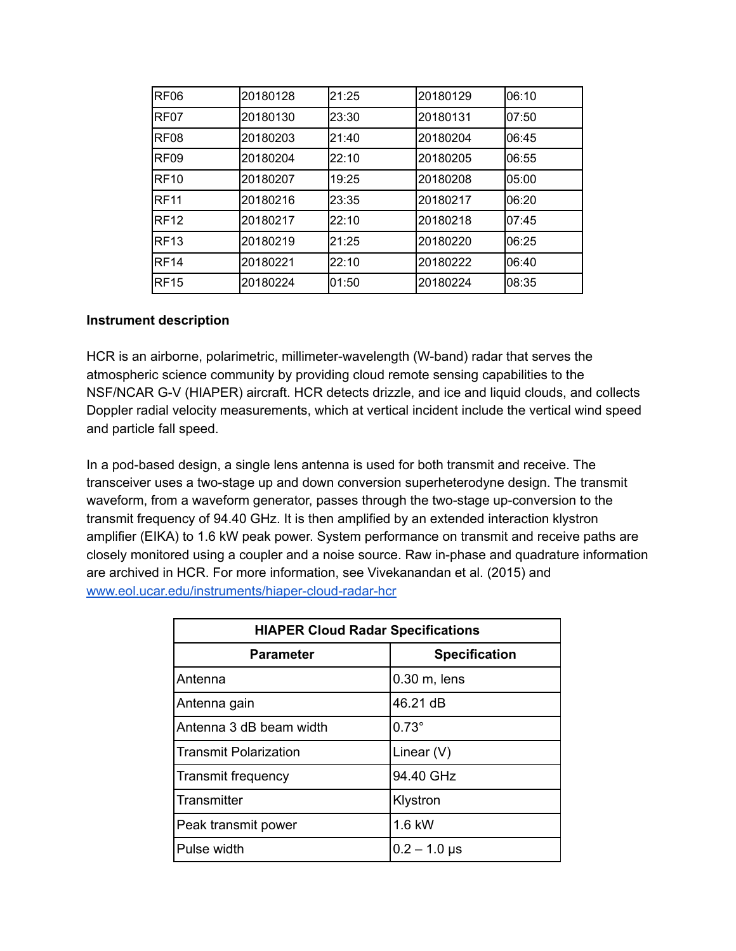| RF <sub>06</sub> | 20180128 | 21:25 | 20180129 | 06:10  |
|------------------|----------|-------|----------|--------|
| RF <sub>07</sub> | 20180130 | 23:30 | 20180131 | 07:50  |
| RF <sub>08</sub> | 20180203 | 21:40 | 20180204 | 06:45  |
| RF <sub>09</sub> | 20180204 | 22:10 | 20180205 | 06:55  |
| <b>RF10</b>      | 20180207 | 19:25 | 20180208 | 05:00  |
| <b>RF11</b>      | 20180216 | 23:35 | 20180217 | 106:20 |
| <b>RF12</b>      | 20180217 | 22:10 | 20180218 | 07:45  |
| <b>RF13</b>      | 20180219 | 21:25 | 20180220 | 06:25  |
| <b>RF14</b>      | 20180221 | 22:10 | 20180222 | 06:40  |
| <b>RF15</b>      | 20180224 | 01:50 | 20180224 | 08:35  |

#### **Instrument description**

HCR is an airborne, polarimetric, millimeter-wavelength (W-band) radar that serves the atmospheric science community by providing cloud remote sensing capabilities to the NSF/NCAR G-V (HIAPER) aircraft. HCR detects drizzle, and ice and liquid clouds, and collects Doppler radial velocity measurements, which at vertical incident include the vertical wind speed and particle fall speed.

In a pod-based design, a single lens antenna is used for both transmit and receive. The transceiver uses a two-stage up and down conversion superheterodyne design. The transmit waveform, from a waveform generator, passes through the two-stage up-conversion to the transmit frequency of 94.40 GHz. It is then amplified by an extended interaction klystron amplifier (EIKA) to 1.6 kW peak power. System performance on transmit and receive paths are closely monitored using a coupler and a noise source. Raw in-phase and quadrature information are archived in HCR. For more information, see Vivekanandan et al. (2015) and [www.eol.ucar.edu/instruments/hiaper-cloud-radar-hcr](http://www.eol.ucar.edu/instruments/hiaper-cloud-radar-hcr)

| <b>HIAPER Cloud Radar Specifications</b> |                      |  |
|------------------------------------------|----------------------|--|
| <b>Parameter</b>                         | <b>Specification</b> |  |
| l Antenna                                | $0.30$ m, lens       |  |
| Antenna gain                             | 46.21 dB             |  |
| Antenna 3 dB beam width                  | $0.73^\circ$         |  |
| l Transmit Polarization                  | Linear $(V)$         |  |
| Transmit frequency                       | 94.40 GHz            |  |
| l Transmitter                            | Klystron             |  |
| Peak transmit power                      | 1.6 kW               |  |
| Pulse width                              | $0.2 - 1.0$ µs       |  |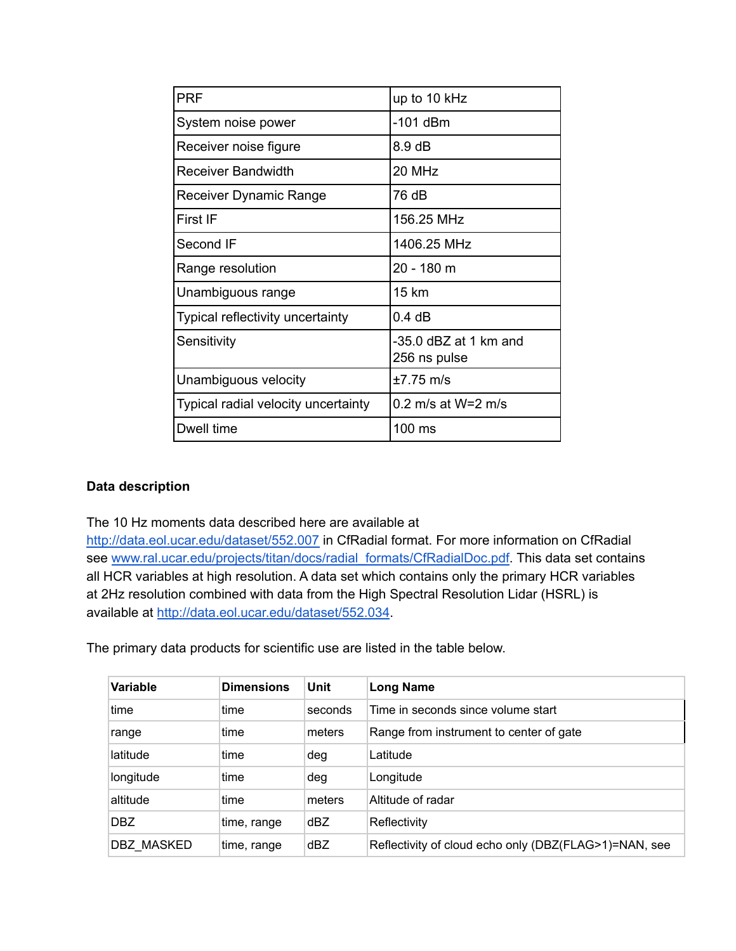| <b>PRF</b>                          | up to 10 kHz                          |
|-------------------------------------|---------------------------------------|
| System noise power                  | $-101$ dBm                            |
| Receiver noise figure               | $8.9 \text{ dB}$                      |
| Receiver Bandwidth                  | 20 MHz                                |
| Receiver Dynamic Range              | 76 dB                                 |
| First IF                            | 156.25 MHz                            |
| Second IF                           | 1406.25 MHz                           |
| Range resolution                    | 20 - 180 m                            |
| Unambiguous range                   | 15 km                                 |
| Typical reflectivity uncertainty    | 0.4 dB                                |
| Sensitivity                         | -35.0 dBZ at 1 km and<br>256 ns pulse |
| Unambiguous velocity                | $±7.75$ m/s                           |
| Typical radial velocity uncertainty | $0.2$ m/s at W=2 m/s                  |
| Dwell time                          | $100$ ms                              |

#### **Data description**

The 10 Hz moments data described here are available at

<http://data.eol.ucar.edu/dataset/552.007> in CfRadial format. For more information on CfRadial see [www.ral.ucar.edu/projects/titan/docs/radial\\_formats/CfRadialDoc.pdf.](http://www.ral.ucar.edu/projects/titan/docs/radial_formats/CfRadialDoc.pdf) This data set contains all HCR variables at high resolution. A data set which contains only the primary HCR variables at 2Hz resolution combined with data from the High Spectral Resolution Lidar (HSRL) is available at <http://data.eol.ucar.edu/dataset/552.034>.

The primary data products for scientific use are listed in the table below.

| Variable   | <b>Dimensions</b> | Unit    | <b>Long Name</b>                                      |
|------------|-------------------|---------|-------------------------------------------------------|
| time       | time              | seconds | Time in seconds since volume start                    |
| range      | time              | meters  | Range from instrument to center of gate               |
| latitude   | time              | deg     | Latitude                                              |
| longitude  | time              | deg     | Longitude                                             |
| altitude   | time              | meters  | Altitude of radar                                     |
| DBZ.       | time, range       | dBZ.    | Reflectivity                                          |
| DBZ MASKED | time, range       | dBZ     | Reflectivity of cloud echo only (DBZ(FLAG>1)=NAN, see |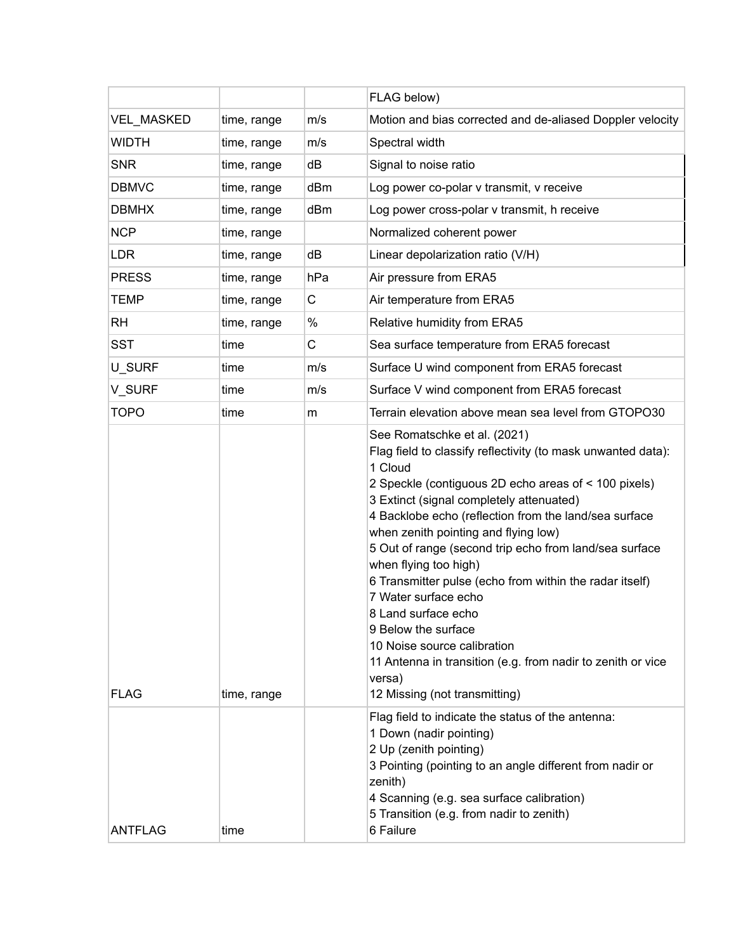|                   |             |             | FLAG below)                                                                                                                                                                                                                                                                                                                                                                                                                                                                                                                                                                                                                                                               |
|-------------------|-------------|-------------|---------------------------------------------------------------------------------------------------------------------------------------------------------------------------------------------------------------------------------------------------------------------------------------------------------------------------------------------------------------------------------------------------------------------------------------------------------------------------------------------------------------------------------------------------------------------------------------------------------------------------------------------------------------------------|
| <b>VEL MASKED</b> | time, range | m/s         | Motion and bias corrected and de-aliased Doppler velocity                                                                                                                                                                                                                                                                                                                                                                                                                                                                                                                                                                                                                 |
| <b>WIDTH</b>      | time, range | m/s         | Spectral width                                                                                                                                                                                                                                                                                                                                                                                                                                                                                                                                                                                                                                                            |
| <b>SNR</b>        | time, range | dB          | Signal to noise ratio                                                                                                                                                                                                                                                                                                                                                                                                                                                                                                                                                                                                                                                     |
| <b>DBMVC</b>      | time, range | dBm         | Log power co-polar v transmit, v receive                                                                                                                                                                                                                                                                                                                                                                                                                                                                                                                                                                                                                                  |
| <b>DBMHX</b>      | time, range | dBm         | Log power cross-polar v transmit, h receive                                                                                                                                                                                                                                                                                                                                                                                                                                                                                                                                                                                                                               |
| <b>NCP</b>        | time, range |             | Normalized coherent power                                                                                                                                                                                                                                                                                                                                                                                                                                                                                                                                                                                                                                                 |
| <b>LDR</b>        | time, range | dB          | Linear depolarization ratio (V/H)                                                                                                                                                                                                                                                                                                                                                                                                                                                                                                                                                                                                                                         |
| <b>PRESS</b>      | time, range | hPa         | Air pressure from ERA5                                                                                                                                                                                                                                                                                                                                                                                                                                                                                                                                                                                                                                                    |
| <b>TEMP</b>       | time, range | $\mathsf C$ | Air temperature from ERA5                                                                                                                                                                                                                                                                                                                                                                                                                                                                                                                                                                                                                                                 |
| <b>RH</b>         | time, range | $\%$        | Relative humidity from ERA5                                                                                                                                                                                                                                                                                                                                                                                                                                                                                                                                                                                                                                               |
| <b>SST</b>        | time        | C           | Sea surface temperature from ERA5 forecast                                                                                                                                                                                                                                                                                                                                                                                                                                                                                                                                                                                                                                |
| U_SURF            | time        | m/s         | Surface U wind component from ERA5 forecast                                                                                                                                                                                                                                                                                                                                                                                                                                                                                                                                                                                                                               |
| V SURF            | time        | m/s         | Surface V wind component from ERA5 forecast                                                                                                                                                                                                                                                                                                                                                                                                                                                                                                                                                                                                                               |
| <b>TOPO</b>       | time        | m           | Terrain elevation above mean sea level from GTOPO30                                                                                                                                                                                                                                                                                                                                                                                                                                                                                                                                                                                                                       |
| <b>FLAG</b>       | time, range |             | See Romatschke et al. (2021)<br>Flag field to classify reflectivity (to mask unwanted data):<br>1 Cloud<br>2 Speckle (contiguous 2D echo areas of < 100 pixels)<br>3 Extinct (signal completely attenuated)<br>4 Backlobe echo (reflection from the land/sea surface<br>when zenith pointing and flying low)<br>5 Out of range (second trip echo from land/sea surface<br>when flying too high)<br>6 Transmitter pulse (echo from within the radar itself)<br>7 Water surface echo<br>8 Land surface echo<br>9 Below the surface<br>10 Noise source calibration<br>11 Antenna in transition (e.g. from nadir to zenith or vice<br>versa)<br>12 Missing (not transmitting) |
| ANTFLAG           | time        |             | Flag field to indicate the status of the antenna:<br>1 Down (nadir pointing)<br>2 Up (zenith pointing)<br>3 Pointing (pointing to an angle different from nadir or<br>zenith)<br>4 Scanning (e.g. sea surface calibration)<br>5 Transition (e.g. from nadir to zenith)<br>6 Failure                                                                                                                                                                                                                                                                                                                                                                                       |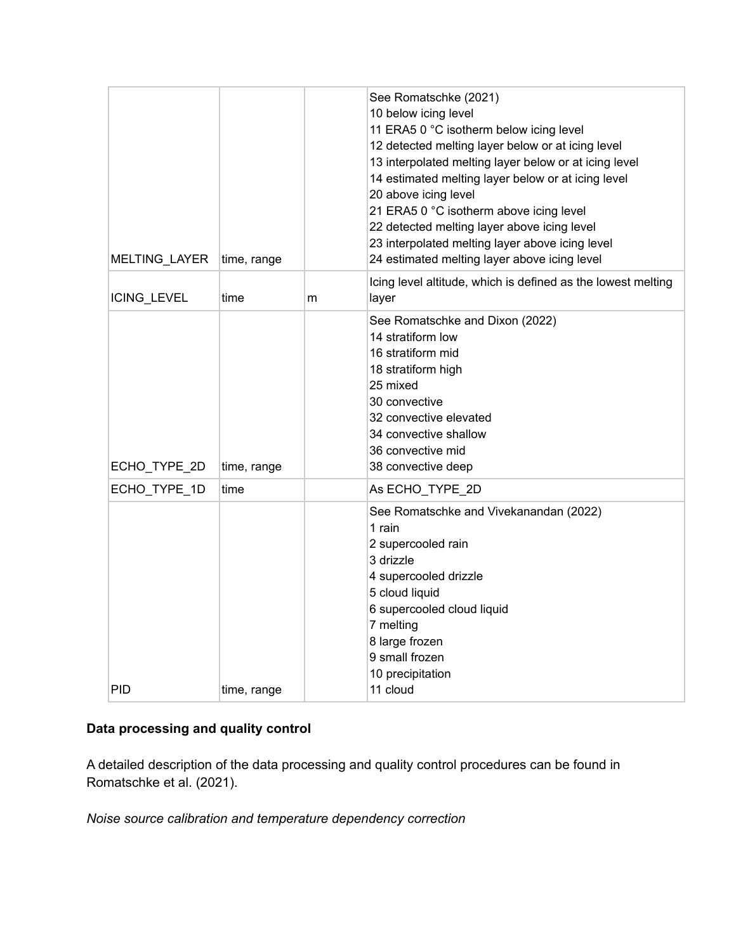# **Data processing and quality control**

A detailed description of the data processing and quality control procedures can be found in Romatschke et al. (2021).

*Noise source calibration and temperature dependency correction*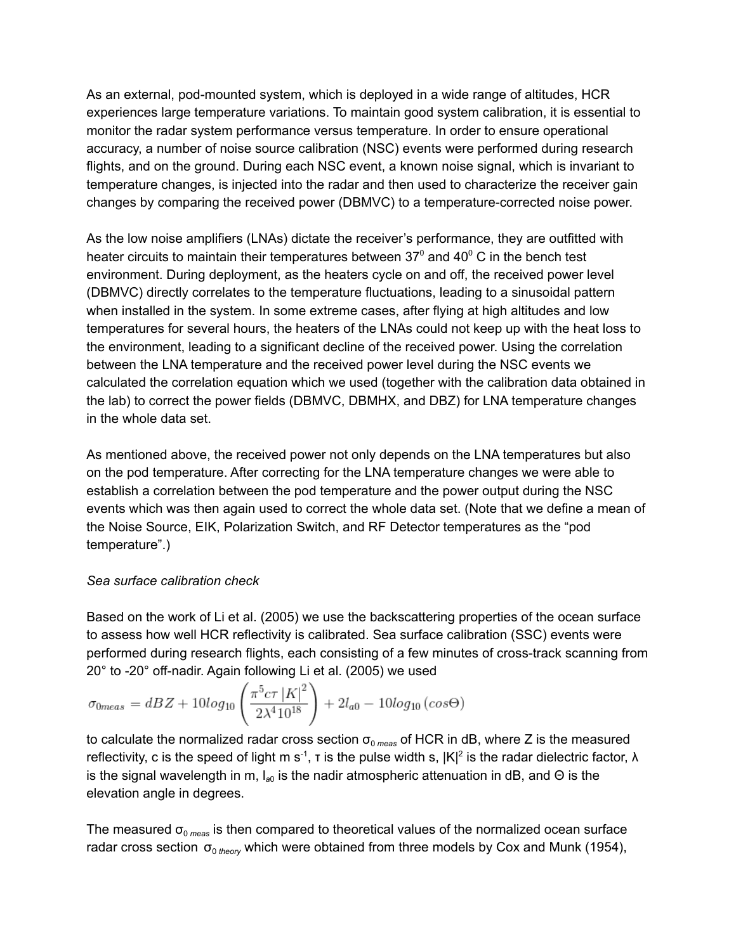As an external, pod-mounted system, which is deployed in a wide range of altitudes, HCR experiences large temperature variations. To maintain good system calibration, it is essential to monitor the radar system performance versus temperature. In order to ensure operational accuracy, a number of noise source calibration (NSC) events were performed during research flights, and on the ground. During each NSC event, a known noise signal, which is invariant to temperature changes, is injected into the radar and then used to characterize the receiver gain changes by comparing the received power (DBMVC) to a temperature-corrected noise power.

As the low noise amplifiers (LNAs) dictate the receiver's performance, they are outfitted with heater circuits to maintain their temperatures between 37 $^{\circ}$  and 40 $^{\circ}$  C in the bench test environment. During deployment, as the heaters cycle on and off, the received power level (DBMVC) directly correlates to the temperature fluctuations, leading to a sinusoidal pattern when installed in the system. In some extreme cases, after flying at high altitudes and low temperatures for several hours, the heaters of the LNAs could not keep up with the heat loss to the environment, leading to a significant decline of the received power. Using the correlation between the LNA temperature and the received power level during the NSC events we calculated the correlation equation which we used (together with the calibration data obtained in the lab) to correct the power fields (DBMVC, DBMHX, and DBZ) for LNA temperature changes in the whole data set.

As mentioned above, the received power not only depends on the LNA temperatures but also on the pod temperature. After correcting for the LNA temperature changes we were able to establish a correlation between the pod temperature and the power output during the NSC events which was then again used to correct the whole data set. (Note that we define a mean of the Noise Source, EIK, Polarization Switch, and RF Detector temperatures as the "pod temperature".)

#### *Sea surface calibration check*

Based on the work of Li et al. (2005) we use the backscattering properties of the ocean surface to assess how well HCR reflectivity is calibrated. Sea surface calibration (SSC) events were performed during research flights, each consisting of a few minutes of cross-track scanning from 20° to -20° off-nadir. Again following Li et al. (2005) we used

$$
\sigma_{0meas} = dBZ + 10\log_{10}\left(\frac{\pi^5 c \tau |K|^2}{2\lambda^4 10^{18}}\right) + 2l_{a0} - 10\log_{10}\left(\cos\Theta\right)
$$

to calculate the normalized radar cross section  $\sigma_{0 \text{ meas}}$  of HCR in dB, where Z is the measured reflectivity, c is the speed of light m s<sup>-1</sup>, t is the pulse width s,  $|K|^2$  is the radar dielectric factor,  $\lambda$ is the signal wavelength in m, l<sub>a0</sub> is the nadir atmospheric attenuation in dB, and Θ is the elevation angle in degrees.

The measured  $\sigma_{\text{o} \, \text{meas}}$  is then compared to theoretical values of the normalized ocean surface radar cross section σ<sub>0 theory</sub> which were obtained from three models by Cox and Munk (1954),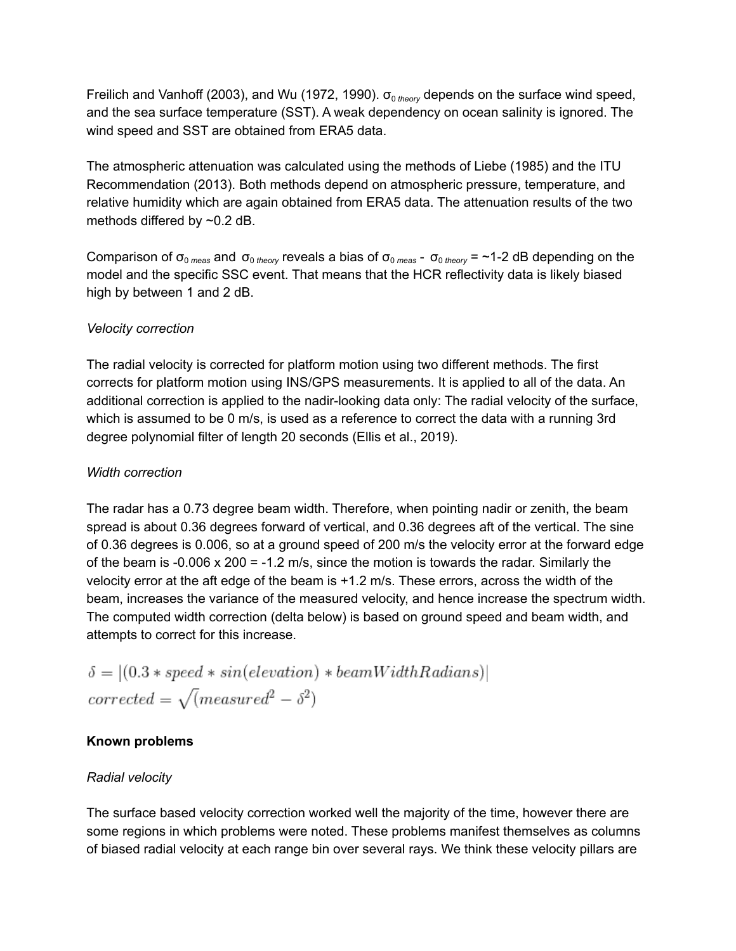Freilich and Vanhoff (2003), and Wu (1972, 1990).  $\sigma_{0 \text{ theory}}$  depends on the surface wind speed, and the sea surface temperature (SST). A weak dependency on ocean salinity is ignored. The wind speed and SST are obtained from ERA5 data.

The atmospheric attenuation was calculated using the methods of Liebe (1985) and the ITU Recommendation (2013). Both methods depend on atmospheric pressure, temperature, and relative humidity which are again obtained from ERA5 data. The attenuation results of the two methods differed by ~0.2 dB.

Comparison of  $\sigma_{0 \text{ meas}}$  and  $\sigma_{0 \text{ theory}}$  reveals a bias of  $\sigma_{0 \text{ meas}}$  -  $\sigma_{0 \text{ theory}}$  = ~1-2 dB depending on the model and the specific SSC event. That means that the HCR reflectivity data is likely biased high by between 1 and 2 dB.

#### *Velocity correction*

The radial velocity is corrected for platform motion using two different methods. The first corrects for platform motion using INS/GPS measurements. It is applied to all of the data. An additional correction is applied to the nadir-looking data only: The radial velocity of the surface, which is assumed to be 0 m/s, is used as a reference to correct the data with a running 3rd degree polynomial filter of length 20 seconds (Ellis et al., 2019).

#### *Width correction*

The radar has a 0.73 degree beam width. Therefore, when pointing nadir or zenith, the beam spread is about 0.36 degrees forward of vertical, and 0.36 degrees aft of the vertical. The sine of 0.36 degrees is 0.006, so at a ground speed of 200 m/s the velocity error at the forward edge of the beam is -0.006  $\times$  200 = -1.2 m/s, since the motion is towards the radar. Similarly the velocity error at the aft edge of the beam is +1.2 m/s. These errors, across the width of the beam, increases the variance of the measured velocity, and hence increase the spectrum width. The computed width correction (delta below) is based on ground speed and beam width, and attempts to correct for this increase.

$$
\delta = |(0.3 * speed * sin(elevation) * beamWidthRadius)|
$$
  
corrected =  $\sqrt{(measured^2 - \delta^2)}$ 

## **Known problems**

#### *Radial velocity*

The surface based velocity correction worked well the majority of the time, however there are some regions in which problems were noted. These problems manifest themselves as columns of biased radial velocity at each range bin over several rays. We think these velocity pillars are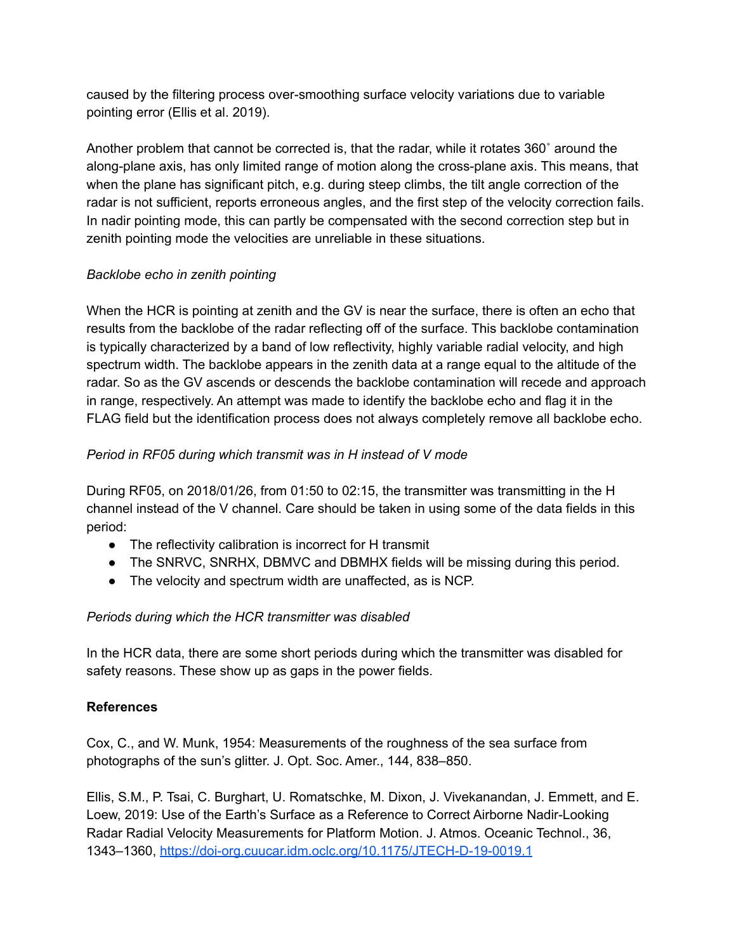caused by the filtering process over-smoothing surface velocity variations due to variable pointing error (Ellis et al. 2019).

Another problem that cannot be corrected is, that the radar, while it rotates 360˚ around the along-plane axis, has only limited range of motion along the cross-plane axis. This means, that when the plane has significant pitch, e.g. during steep climbs, the tilt angle correction of the radar is not sufficient, reports erroneous angles, and the first step of the velocity correction fails. In nadir pointing mode, this can partly be compensated with the second correction step but in zenith pointing mode the velocities are unreliable in these situations.

## *Backlobe echo in zenith pointing*

When the HCR is pointing at zenith and the GV is near the surface, there is often an echo that results from the backlobe of the radar reflecting off of the surface. This backlobe contamination is typically characterized by a band of low reflectivity, highly variable radial velocity, and high spectrum width. The backlobe appears in the zenith data at a range equal to the altitude of the radar. So as the GV ascends or descends the backlobe contamination will recede and approach in range, respectively. An attempt was made to identify the backlobe echo and flag it in the FLAG field but the identification process does not always completely remove all backlobe echo.

## *Period in RF05 during which transmit was in H instead of V mode*

During RF05, on 2018/01/26, from 01:50 to 02:15, the transmitter was transmitting in the H channel instead of the V channel. Care should be taken in using some of the data fields in this period:

- The reflectivity calibration is incorrect for H transmit
- The SNRVC, SNRHX, DBMVC and DBMHX fields will be missing during this period.
- The velocity and spectrum width are unaffected, as is NCP.

# *Periods during which the HCR transmitter was disabled*

In the HCR data, there are some short periods during which the transmitter was disabled for safety reasons. These show up as gaps in the power fields.

## **References**

Cox, C., and W. Munk, 1954: Measurements of the roughness of the sea surface from photographs of the sun's glitter. J. Opt. Soc. Amer., 144, 838–850.

Ellis, S.M., P. Tsai, C. Burghart, U. Romatschke, M. Dixon, J. Vivekanandan, J. Emmett, and E. Loew, 2019: Use of the Earth's Surface as a Reference to Correct Airborne Nadir-Looking Radar Radial Velocity Measurements for Platform Motion. J. Atmos. Oceanic Technol., 36, 1343–1360, <https://doi-org.cuucar.idm.oclc.org/10.1175/JTECH-D-19-0019.1>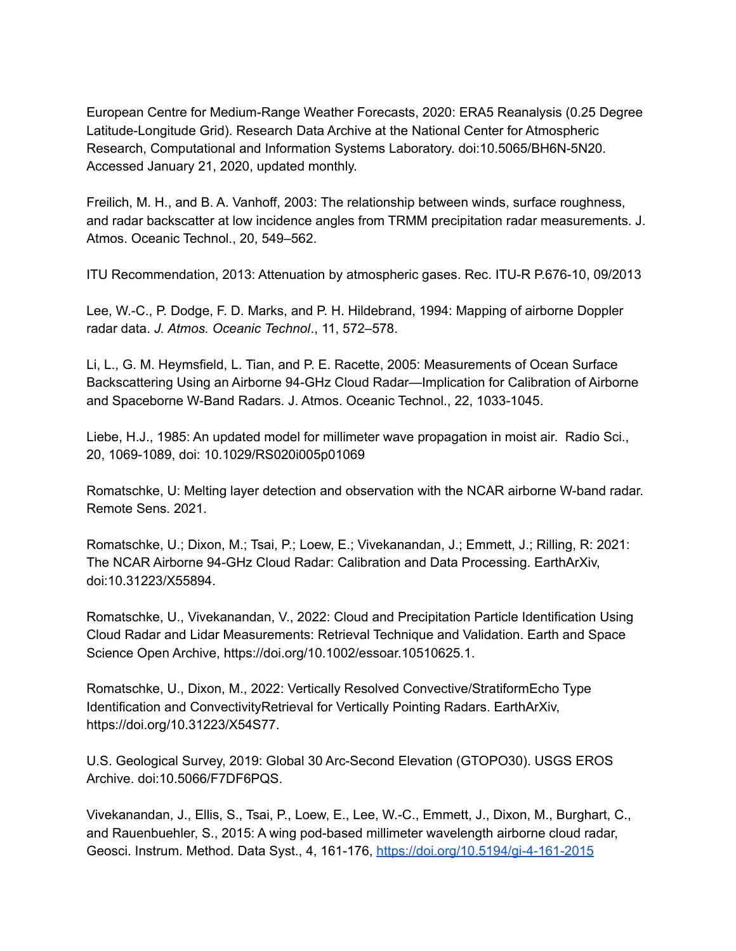European Centre for Medium-Range Weather Forecasts, 2020: ERA5 Reanalysis (0.25 Degree Latitude-Longitude Grid). Research Data Archive at the National Center for Atmospheric Research, Computational and Information Systems Laboratory. doi:10.5065/BH6N-5N20. Accessed January 21, 2020, updated monthly.

Freilich, M. H., and B. A. Vanhoff, 2003: The relationship between winds, surface roughness, and radar backscatter at low incidence angles from TRMM precipitation radar measurements. J. Atmos. Oceanic Technol., 20, 549–562.

ITU Recommendation, 2013: Attenuation by atmospheric gases. Rec. ITU-R P.676-10, 09/2013

Lee, W.-C., P. Dodge, F. D. Marks, and P. H. Hildebrand, 1994: Mapping of airborne Doppler radar data. *J. Atmos. Oceanic Technol*., 11, 572–578.

Li, L., G. M. Heymsfield, L. Tian, and P. E. Racette, 2005: Measurements of Ocean Surface Backscattering Using an Airborne 94-GHz Cloud Radar—Implication for Calibration of Airborne and Spaceborne W-Band Radars. J. Atmos. Oceanic Technol., 22, 1033-1045.

Liebe, H.J., 1985: An updated model for millimeter wave propagation in moist air. Radio Sci., 20, 1069-1089, doi: 10.1029/RS020i005p01069

Romatschke, U: Melting layer detection and observation with the NCAR airborne W-band radar. Remote Sens. 2021.

Romatschke, U.; Dixon, M.; Tsai, P.; Loew, E.; Vivekanandan, J.; Emmett, J.; Rilling, R: 2021: The NCAR Airborne 94-GHz Cloud Radar: Calibration and Data Processing. EarthArXiv, doi:10.31223/X55894.

Romatschke, U., Vivekanandan, V., 2022: Cloud and Precipitation Particle Identification Using Cloud Radar and Lidar Measurements: Retrieval Technique and Validation. Earth and Space Science Open Archive, https://doi.org/10.1002/essoar.10510625.1.

Romatschke, U., Dixon, M., 2022: Vertically Resolved Convective/StratiformEcho Type Identification and ConvectivityRetrieval for Vertically Pointing Radars. EarthArXiv, https://doi.org/10.31223/X54S77.

U.S. Geological Survey, 2019: Global 30 Arc-Second Elevation (GTOPO30). USGS EROS Archive. doi:10.5066/F7DF6PQS.

Vivekanandan, J., Ellis, S., Tsai, P., Loew, E., Lee, W.-C., Emmett, J., Dixon, M., Burghart, C., and Rauenbuehler, S., 2015: A wing pod-based millimeter wavelength airborne cloud radar, Geosci. Instrum. Method. Data Syst., 4, 161-176, <https://doi.org/10.5194/gi-4-161-2015>